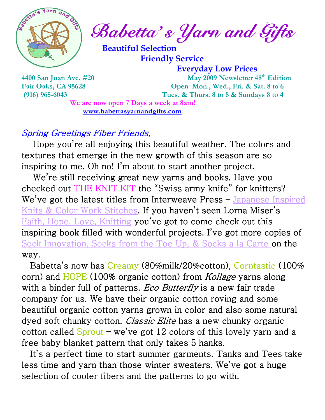

Babetta' s Yarn and Gifts

 Beautiful Selection Friendly Service

Everyday Low Prices

4400 San Juan Ave. #20 May 2009 Newsletter 48<sup>th</sup> Edition Fair Oaks, CA 95628 Open Mon., Wed., Fri. & Sat. 8 to 6 (916) 965-6043 Tues. & Thurs. 8 to 8 & Sundays 8 to 4

We are now open 7 Days a week at 8am! www.babettasyarnandgifts.com

### Spring Greetings Fiber Friends,

 Hope you're all enjoying this beautiful weather. The colors and textures that emerge in the new growth of this season are so inspiring to me. Oh no! I'm about to start another project.

 We're still receiving great new yarns and books. Have you checked out THE KNIT KIT the "Swiss army knife" for knitters? We've got the latest titles from Interweave Press  $-$  Japanese Inspired Knits & Color Work Stitches. If you haven't seen Lorna Miser's Faith, Hope, Love, Knitting you've got to come check out this inspiring book filled with wonderful projects. I've got more copies of Sock Innovation, Socks from the Toe Up, & Socks a la Carte on the way.

 Babetta's now has Creamy (80%milk/20%cotton), Corntastic (100% corn) and HOPE (100% organic cotton) from *Kollage* yarns along with a binder full of patterns. *Eco Butterfly* is a new fair trade company for us. We have their organic cotton roving and some beautiful organic cotton yarns grown in color and also some natural dyed soft chunky cotton. *Classic Elite* has a new chunky organic cotton called  $S$ prout – we've got 12 colors of this lovely yarn and a free baby blanket pattern that only takes 5 hanks.

It's a perfect time to start summer garments. Tanks and Tees take less time and yarn than those winter sweaters. We've got a huge selection of cooler fibers and the patterns to go with.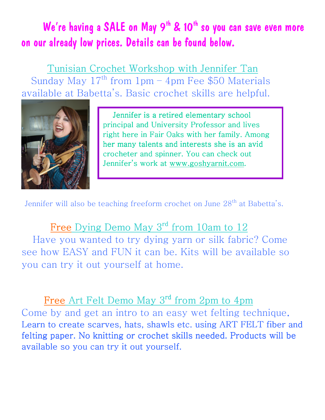# We're having a SALE on May  $9<sup>th</sup>$  & 10<sup>th</sup> so you can save even more on our already low prices. Details can be found below.

Tunisian Crochet Workshop with Jennifer Tan Sunday May  $17<sup>th</sup>$  from 1pm – 4pm Fee \$50 Materials available at Babetta's. Basic crochet skills are helpful.



 Jennifer is a retired elementary school principal and University Professor and lives right here in Fair Oaks with her family. Among her many talents and interests she is an avid crocheter and spinner. You can check out Jennifer's work at www.goshyarnit.com.

Jennifer will also be teaching freeform crochet on June 28<sup>th</sup> at Babetta's.

## Free Dying Demo May 3<sup>rd</sup> from 10am to 12

 Have you wanted to try dying yarn or silk fabric? Come see how EASY and FUN it can be. Kits will be available so you can try it out yourself at home.

Free Art Felt Demo May 3<sup>rd</sup> from 2pm to 4pm

Come by and get an intro to an easy wet felting technique. Learn to create scarves, hats, shawls etc. using ART FELT fiber and felting paper. No knitting or crochet skills needed. Products will be available so you can try it out yourself.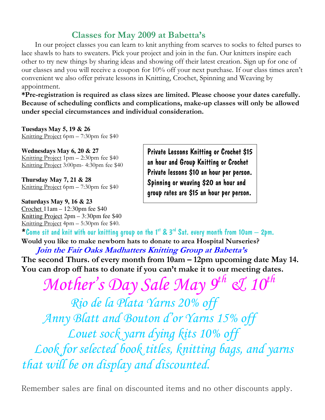#### Classes for May 2009 at Babetta's

 In our project classes you can learn to knit anything from scarves to socks to felted purses to lace shawls to hats to sweaters. Pick your project and join in the fun. Our knitters inspire each other to try new things by sharing ideas and showing off their latest creation. Sign up for one of our classes and you will receive a coupon for 10% off your next purchase. If our class times aren't convenient we also offer private lessons in Knitting, Crochet, Spinning and Weaving by appointment.

\*Pre-registration is required as class sizes are limited. Please choose your dates carefully. Because of scheduling conflicts and complications, make-up classes will only be allowed under special circumstances and individual consideration.

**Tuesdays May 5, 19 & 26**  Knitting Project 6pm – 7:30pm fee \$40

**Wednesdays May 6, 20 & 27**  Knitting Project 1pm – 2:30pm fee \$40 Knitting Project 3:00pm- 4:30pm fee \$40

**Thursday May 7, 21 & 28**  Knitting Project 6pm – 7:30pm fee \$40

**Saturdays May 9, 16 & 23**  Crochet 11am – 12:30pm fee \$40 Knitting Project 2pm – 3:30pm fee \$40 Knitting Project 4pm – 5:30pm fee \$40.

Private Lessons Knitting or Crochet \$15 an hour and Group Knitting or Crochet Private lessons \$10 an hour per person. Spinning or weaving \$20 an hour and group rates are \$15 an hour per person.

\* Come sit and knit with our knitting group on the 1st & 3<sup>rd</sup> Sat. every month from 10am  $-$  2pm. Would you like to make newborn hats to donate to area Hospital Nurseries?

 Join the Fair Oaks Madhatters Knitting Group at Babetta's The second Thurs. of every month from 10am – 12pm upcoming date May 14. You can drop off hats to donate if you can't make it to our meeting dates.

Mother's Day Sale May 9<sup>th</sup> & 10<sup>th</sup>

 Rio de la Plata Yarns 20% off Anny Blatt and Bouton d'or Yarns 15% off Louet sock yarn dying kits 10% off Look for selected book titles, knitting bags, and yarns that will be on display and discounted.

Remember sales are final on discounted items and no other discounts apply.